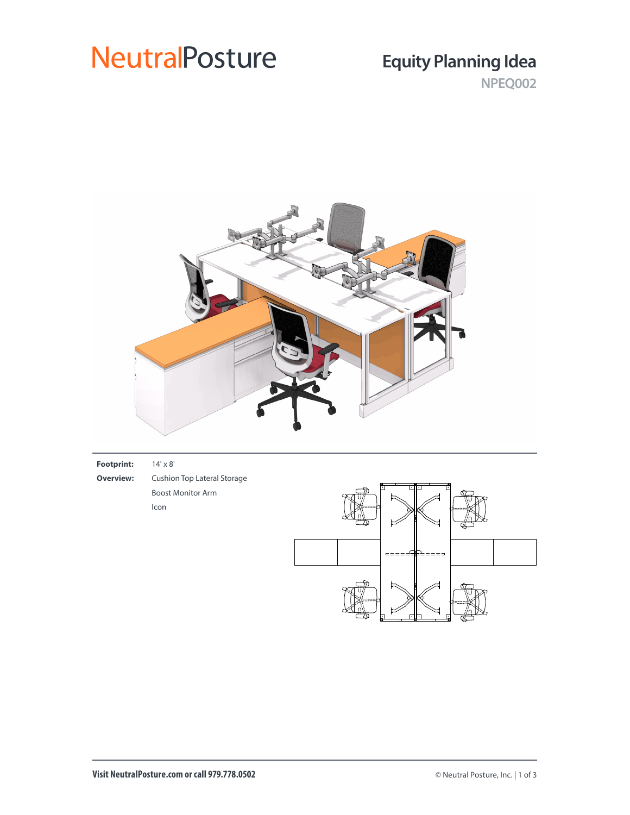# **NeutralPosture**

# **Equity Planning Idea**

**NPEQ002**



| <b>Footprint:</b> | $14' \times 8'$ |
|-------------------|-----------------|
|                   |                 |

**Overview:** Cushion Top Lateral Storage Boost Monitor Arm Icon

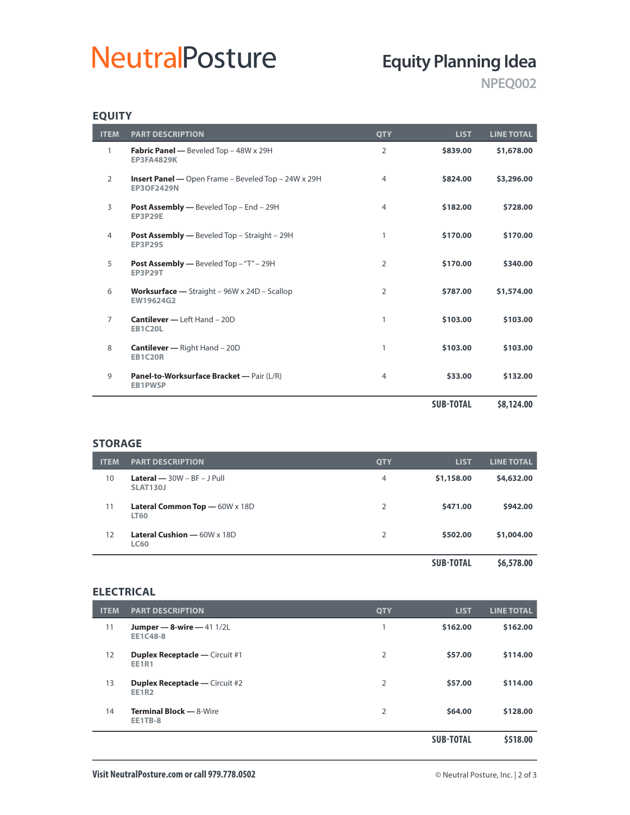# **NeutralPosture**

# **Equity Planning Idea**

**NPEQ002**

## **EQUITY**

| <b>ITEM</b>    | <b>PART DESCRIPTION</b>                                                                | <b>OTY</b>     | <b>LIST</b>      | <b>LINE TOTAL</b> |
|----------------|----------------------------------------------------------------------------------------|----------------|------------------|-------------------|
| 1              | Fabric Panel - Beveled Top - 48W x 29H<br><b>EP3FA4829K</b>                            | 2              | \$839.00         | \$1,678.00        |
| $\overline{2}$ | <b>Insert Panel</b> — Open Frame – Beveled Top – $24W \times 29H$<br><b>EP3OF2429N</b> | $\overline{4}$ | \$824.00         | \$3,296.00        |
| 3              | <b>Post Assembly - Beveled Top - End - 29H</b><br><b>EP3P29E</b>                       | $\overline{4}$ | \$182.00         | \$728.00          |
| 4              | <b>Post Assembly —</b> Beveled Top – Straight – 29H<br><b>EP3P29S</b>                  | 1              | \$170.00         | \$170.00          |
| 5              | <b>Post Assembly — Beveled Top - "T" - 29H</b><br><b>EP3P29T</b>                       | 2              | \$170.00         | \$340.00          |
| 6              | <b>Worksurface</b> - Straight $-$ 96W x 24D - Scallop<br>EW19624G2                     | 2              | \$787.00         | \$1,574.00        |
| $\overline{7}$ | <b>Cantilever - Left Hand - 20D</b><br><b>EB1C20L</b>                                  | 1              | \$103.00         | \$103.00          |
| 8              | <b>Cantilever</b> - Right Hand - 20D<br><b>EB1C20R</b>                                 | 1              | \$103.00         | \$103.00          |
| 9              | Panel-to-Worksurface Bracket - Pair (L/R)<br><b>EB1PWSP</b>                            | 4              | \$33.00          | \$132.00          |
|                |                                                                                        |                | <b>SUB-TOTAL</b> | \$8,124.00        |

### **STORAGE**

| <b>ITEM</b> | <b>PART DESCRIPTION</b>                                    | <b>QTY</b>    | <b>LIST</b>      | <b>LINE TOTAL</b> |
|-------------|------------------------------------------------------------|---------------|------------------|-------------------|
| 10          | <b>Lateral</b> $- 30W - BF - J$ Pull<br><b>SLAT130J</b>    | 4             | \$1,158.00       | \$4,632.00        |
| 11          | <b>Lateral Common Top</b> $-60W \times 18D$<br><b>LT60</b> | 2             | \$471.00         | \$942.00          |
| 12          | <b>Lateral Cushion - 60W x 18D</b><br><b>LC60</b>          | $\mathcal{P}$ | \$502.00         | \$1,004.00        |
|             |                                                            |               | <b>SUB-TOTAL</b> | \$6,578.00        |

#### **ELECTRICAL**

| <b>ITEM</b>       | <b>PART DESCRIPTION</b>                               | <b>QTY</b> | <b>LIST</b>      | <b>LINE TOTAL</b> |
|-------------------|-------------------------------------------------------|------------|------------------|-------------------|
| 11                | Jumper - 8-wire $-411/2L$<br><b>EE1C48-8</b>          |            | \$162.00         | \$162.00          |
| $12 \overline{ }$ | <b>Duplex Receptacle - Circuit #1</b><br><b>EE1R1</b> | 2          | \$57.00          | \$114.00          |
| 13                | <b>Duplex Receptacle — Circuit #2</b><br><b>EE1R2</b> | 2          | \$57.00          | \$114.00          |
| 14                | <b>Terminal Block - 8-Wire</b><br><b>EE1TB-8</b>      | 2          | \$64.00          | \$128.00          |
|                   |                                                       |            | <b>SUB-TOTAL</b> | \$518.00          |